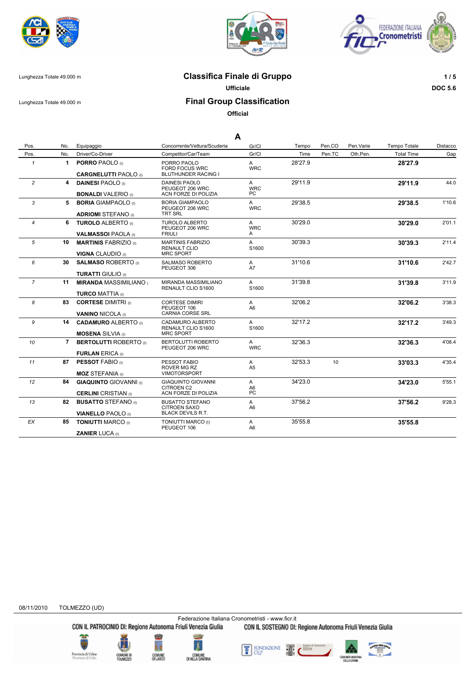





### Lunghezza Totale 49.000 m **Classifica Finale di Gruppo 1 / 5**

**Ufficiale DOC 5.6**

# Lunghezza Totale 49.000 m **Final Group Classification**

**Official**

|                |     |                                                              |                                                                        | A                          |         |                 |           |                   |          |
|----------------|-----|--------------------------------------------------------------|------------------------------------------------------------------------|----------------------------|---------|-----------------|-----------|-------------------|----------|
| Pos.           | No. | Equipaggio                                                   | Concorrente/Vettura/Scuderia                                           | Gr/Cl                      | Tempo   | Pen.CO          | Pen.Varie | Tempo Totale      | Distacco |
| Pos.           | No. | Driver/Co-Driver                                             | Competitor/Car/Team                                                    | Gr/Cl                      | Time    | Pen.TC          | Oth.Pen.  | <b>Total Time</b> | Gap      |
| $\mathbf{1}$   | 1   | <b>PORRO PAOLO</b> (i)                                       | PORRO PAOLO<br><b>FORD FOCUS WRC</b>                                   | $\mathsf{A}$<br><b>WRC</b> | 28'27.9 |                 |           | 28'27.9           |          |
|                |     | <b>CARGNELUTTI PAOLO</b> (I)                                 | <b>BLUTHUNDER RACING I</b>                                             |                            |         |                 |           |                   |          |
| $\overline{c}$ | 4   | <b>DAINESI PAOLO</b> (I)<br><b>BONALDI VALERIO</b> (i)       | <b>DAINESI PAOLO</b><br>PEUGEOT 206 WRC<br>ACN FORZE DI POLIZIA        | A<br><b>WRC</b><br>PC.     | 29'11.9 |                 |           | 29'11.9           | 44.0     |
| 3              | 5   | <b>BORIA GIAMPAOLO</b> (I)<br><b>ADRIOMI STEFANO</b> (1)     | <b>BORIA GIAMPAOLO</b><br>PEUGEOT 206 WRC<br><b>TRT SRL</b>            | A<br><b>WRC</b>            | 29'38.5 |                 |           | 29'38.5           | 1'10.6   |
| $\overline{4}$ |     | 6 TUROLO ALBERTO (i)<br><b>VALMASSOI PAOLA</b> (I)           | <b>TUROLO ALBERTO</b><br>PEUGEOT 206 WRC<br><b>FRIULI</b>              | A<br><b>WRC</b><br>A       | 30'29.0 |                 |           | 30'29.0           | 2'01.1   |
| 5              | 10  | <b>MARTINIS FABRIZIO (I)</b><br><b>VIGNA CLAUDIO</b> (I)     | <b>MARTINIS FABRIZIO</b><br>RENAULT CLIO<br><b>MRC SPORT</b>           | A<br>S1600                 | 30'39.3 |                 |           | 30'39.3           | 2'11.4   |
| 6              | 30  | <b>SALMASO ROBERTO</b> (i)                                   | <b>SALMASO ROBERTO</b><br>PEUGEOT 306                                  | A<br>A7                    | 31'10.6 |                 |           | 31'10.6           | 2'42.7   |
|                |     | <b>TURATTI GIULIO</b> (I)                                    |                                                                        |                            |         |                 |           |                   |          |
| $\overline{7}$ | 11  | <b>MIRANDA MASSIMILIANO</b>                                  | MIRANDA MASSIMILIANO<br>RENAULT CLIO S1600                             | $\mathsf{A}$<br>S1600      | 31'39.8 |                 |           | 31'39.8           | 3'11.9   |
|                |     | <b>TURCO MATTIA (I)</b>                                      |                                                                        |                            |         |                 |           |                   |          |
| 8              | 83  | <b>CORTESE DIMITRI</b> (0)                                   | <b>CORTESE DIMIRI</b><br>PEUGEOT 106                                   | A<br>A <sub>6</sub>        | 32'06.2 |                 |           | 32'06.2           | 3'38.3   |
|                |     | <b>VANINO NICOLA (i)</b>                                     | CARNIA CORSE SRL                                                       |                            |         |                 |           |                   |          |
| 9              | 14  | <b>CADAMURO ALBERTO</b> (I)<br><b>MOSENA</b> SILVIA (I)      | CADAMURO ALBERTO<br>RENAULT CLIO S1600<br><b>MRC SPORT</b>             | A<br>S1600                 | 32'17.2 |                 |           | 32'17.2           | 3'49.3   |
| 10             |     | 7 BERTOLUTTI ROBERTO (I)                                     | BERTOLUTTI ROBERTO<br>PEUGEOT 206 WRC                                  | A<br><b>WRC</b>            | 32'36.3 |                 |           | 32'36.3           | 4'08.4   |
|                |     | <b>FURLAN ERICA (i)</b>                                      |                                                                        |                            |         |                 |           |                   |          |
| 11             | 87  | <b>PESSOT FABIO (I)</b>                                      | PESSOT FABIO<br>ROVER MG RZ<br><b>VIMOTORSPORT</b>                     | A<br>A5                    | 32'53.3 | 10 <sup>1</sup> |           | 33'03.3           | 4'35.4   |
|                |     | <b>MOZ STEFANIA</b> (I)                                      |                                                                        |                            |         |                 |           |                   |          |
| 12             | 84  | <b>GIAQUINTO GIOVANNI</b> (I)<br><b>CERLINI</b> CRISTIAN (I) | <b>GIAQUINTO GIOVANNI</b><br><b>CITROEN C2</b><br>ACN FORZE DI POLIZIA | A<br>A6<br>PC              | 34'23.0 |                 |           | 34'23.0           | 5'55.1   |
| 13             | 82  | <b>BUSATTO STEFANO</b> (I)                                   | <b>BUSATTO STEFANO</b>                                                 | A                          | 37'56.2 |                 |           | 37'56.2           | 9'28.3   |
|                |     | <b>VIANELLO PAOLO</b> (I)                                    | <b>CITROEN SAXO</b><br><b>BLACK DEVILS R.T.</b>                        | A6                         |         |                 |           |                   |          |
| ЕX             | 85  | <b>TONIUTTI MARCO (I)</b>                                    | TONIUTTI MARCO (I)<br>PEUGEOT 106                                      | A<br>A6                    | 35'55.8 |                 |           | 35'55.8           |          |
|                |     | <b>ZANIER LUCA</b> (i)                                       |                                                                        |                            |         |                 |           |                   |          |

08/11/2010 TOLMEZZO (UD)

Federazione Italiana Cronometristi - www.ficr.it<br>CON IL PATROCINIO DI: Regione Autonoma Friuli Venezia Giulia CON IL SOSTEGNO DI: Regione Autonoma Friuli Venezia Giulia









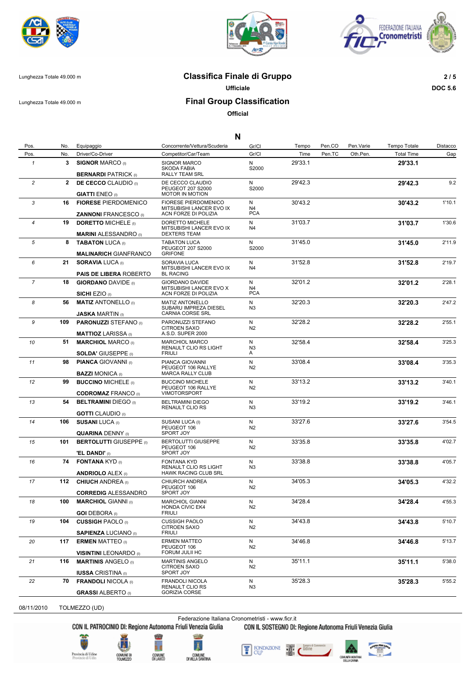





#### Lunghezza Totale 49.000 m **Classifica Finale di Gruppo 2 / 5**

**Ufficiale DOC 5.6**

Lunghezza Totale 49.000 m **Final Group Classification**

**Official**

|                     |              |                                                            | N                                                                          |                     |         |        |           |                   |          |
|---------------------|--------------|------------------------------------------------------------|----------------------------------------------------------------------------|---------------------|---------|--------|-----------|-------------------|----------|
| Pos.                | No.          | Equipaggio                                                 | Concorrente/Vettura/Scuderia                                               | Gr/Cl               | Tempo   | Pen.CO | Pen.Varie | Tempo Totale      | Distacco |
| Pos.                | No.          | Driver/Co-Driver                                           | Competitor/Car/Team                                                        | Gr/Cl               | Time    | Pen.TC | Oth.Pen.  | <b>Total Time</b> | Gap      |
| $\pmb{\mathcal{1}}$ | 3            | <b>SIGNOR MARCO (I)</b>                                    | SIGNOR MARCO<br><b>SKODA FABIA</b>                                         | N<br>S2000          | 29'33.1 |        |           | 29'33.1           |          |
| $\overline{c}$      | $\mathbf{2}$ | <b>BERNARDI PATRICK (I)</b>                                | <b>RALLY TEAM SRL</b>                                                      | N                   | 29'42.3 |        |           |                   | 9.2      |
|                     |              | <b>DE CECCO</b> CLAUDIO (I)<br><b>GIATTI ENEO</b> (0)      | DE CECCO CLAUDIO<br>PEUGEOT 207 S2000<br><b>MOTOR IN MOTION</b>            | S2000               |         |        |           | 29'42.3           |          |
| 3                   |              | <b>16 FIORESE PIERDOMENICO</b>                             | FIORESE PIERDOMENICO<br>MITSUBISHI LANCER EVO IX                           | N<br>N <sub>4</sub> | 30'43.2 |        |           | 30'43.2           | 1'10.1   |
|                     |              | <b>ZANNONI FRANCESCO</b> (I)                               | ACN FORZE DI POLIZIA                                                       | <b>PCA</b>          |         |        |           |                   |          |
| 4                   | 19           | <b>DORETTO MICHELE</b> (I)<br><b>MARINI ALESSANDRO</b> (I) | DORETTO MICHELE<br>MITSUBISHI LANCER EVO IX<br><b>DEXTERS TEAM</b>         | N<br>N4             | 31'03.7 |        |           | 31'03.7           | 1'30.6   |
| 5                   |              | 8 <b>TABATON LUCA</b> (I)                                  | <b>TABATON LUCA</b>                                                        | N                   | 31'45.0 |        |           | 31'45.0           | 2'11.9   |
|                     |              | <b>MALINARICH GIANFRANCO</b>                               | PEUGEOT 207 S2000<br><b>GRIFONE</b>                                        | S2000               |         |        |           |                   |          |
| 6                   | 21           | <b>SORAVIA LUCA (I)</b>                                    | SORAVIA LUCA                                                               | N                   | 31'52.8 |        |           | 31'52.8           | 2'19.7   |
|                     |              | <b>PAIS DE LIBERA ROBERTO</b>                              | MITSUBISHI LANCER EVO IX<br><b>BL RACING</b>                               | N4                  |         |        |           |                   |          |
| $\overline{7}$      | 18           | <b>GIORDANO DAVIDE</b> (I)                                 | GIORDANO DAVIDE<br>MITSUBISHI LANCER EVO X                                 | N<br>N4             | 32'01.2 |        |           | 32'01.2           | 2'28.1   |
|                     |              | <b>SICHI EZIO</b> (I)                                      | ACN FORZE DI POLIZIA                                                       | <b>PCA</b>          |         |        |           |                   |          |
| 8                   | 56           | <b>MATIZ ANTONELLO</b> (I)<br><b>JASKA MARTIN</b> (I)      | <b>MATIZ ANTONELLO</b><br>SUBARU IMPREZA DIESEL<br><b>CARNIA CORSE SRL</b> | N<br>N <sub>3</sub> | 32'20.3 |        |           | 32'20.3           | 2'47.2   |
| 9                   | 109          | <b>PARONUZZI STEFANO</b> (I)                               | PARONUZZI STEFANO<br><b>CITROEN SAXO</b>                                   | N<br>N <sub>2</sub> | 32'28.2 |        |           | 32'28.2           | 2'55.1   |
|                     |              | <b>MATTIOZ LARISSA</b> (I)                                 | A.S.D. SUPER 2000                                                          |                     |         |        |           |                   |          |
| 10                  | 51           | <b>MARCHIOL MARCO</b> (I)                                  | <b>MARCHIOL MARCO</b><br>RENAULT CLIO RS LIGHT                             | N<br>N <sub>3</sub> | 32'58.4 |        |           | 32'58.4           | 3'25.3   |
|                     |              | <b>SOLDA' GIUSEPPE</b> (i)                                 | <b>FRIULI</b>                                                              | A                   |         |        |           |                   |          |
| 11                  | 98           | <b>PIANCA GIOVANNI</b> (I)<br><b>BAZZI MONICA</b> (I)      | PIANCA GIOVANNI<br>PEUGEOT 106 RALLYE<br><b>MARCA RALLY CLUB</b>           | N<br>N <sub>2</sub> | 33'08.4 |        |           | 33'08.4           | 3'35.3   |
| 12                  | 99           | <b>BUCCINO MICHELE</b> (i)                                 | <b>BUCCINO MICHELE</b>                                                     | N                   | 33'13.2 |        |           | 33'13.2           | 3'40.1   |
|                     |              | <b>CODROMAZ FRANCO (I)</b>                                 | PEUGEOT 106 RALLYE<br><b>VIMOTORSPORT</b>                                  | N <sub>2</sub>      |         |        |           |                   |          |
| 13                  | 54           | <b>BELTRAMINI DIEGO</b> (I)                                | <b>BELTRAMINI DIEGO</b><br><b>RENAULT CLIO RS</b>                          | N<br>N <sub>3</sub> | 33'19.2 |        |           | 33'19.2           | 3'46.1   |
|                     | 106          | <b>GOTTI</b> CLAUDIO (I)                                   |                                                                            |                     |         |        |           |                   |          |
| 14                  |              | <b>SUSANI LUCA (I)</b><br><b>QUARINA DENNY (I)</b>         | SUSANI LUCA (I)<br>PEUGEOT 106<br>SPORT JOY                                | N<br>N <sub>2</sub> | 33'27.6 |        |           | 33'27.6           | 3'54.5   |
| 15                  | 101          | <b>BERTOLUTTI GIUSEPPE (i)</b>                             | <b>BERTOLUTTI GIUSEPPE</b>                                                 | N                   | 33'35.8 |        |           | 33'35.8           | 4'02.7   |
|                     |              | <b>'EL DANDI'</b> (I)                                      | PEUGEOT 106<br>SPORT JOY                                                   | N <sub>2</sub>      |         |        |           |                   |          |
| 16                  | 74           | <b>FONTANA KYD</b> (I)                                     | <b>FONTANA KYD</b><br>RENAULT CLIO RS LIGHT                                | N<br>N <sub>3</sub> | 33'38.8 |        |           | 33'38.8           | 4'05.7   |
|                     |              | <b>ANDRIOLO ALEX (I)</b>                                   | <b>HAWK RACING CLUB SRL</b>                                                |                     |         |        |           |                   |          |
| 17                  |              | <b>112 CHIUCH ANDREA</b> (I)<br><b>CORREDIG ALESSANDRO</b> | <b>CHIURCH ANDREA</b><br>PEUGEOT 106<br>SPORT JOY                          | N<br>N <sub>2</sub> | 34'05.3 |        |           | 34'05.3           | 4'32.2   |
| 18                  | 100          | <b>MARCHIOL GIANNI</b> (I)                                 | <b>MARCHIOL GIANNI</b>                                                     | N                   | 34'28.4 |        |           |                   | 4'55.3   |
|                     |              | <b>GOI DEBORA</b> (I)                                      | <b>HONDA CIVIC EK4</b><br><b>FRIULI</b>                                    | N <sub>2</sub>      |         |        |           | 34'28.4           |          |
| 19                  | 104          | <b>CUSSIGH PAOLO</b> (I)                                   | <b>CUSSIGH PAOLO</b>                                                       | N                   | 34'43.8 |        |           | 34'43.8           | 5'10.7   |
|                     |              | <b>SAPIENZA LUCIANO</b> (I)                                | <b>CITROEN SAXO</b><br><b>FRIULI</b>                                       | N <sub>2</sub>      |         |        |           |                   |          |
| 20                  | 117          | <b>ERMEN MATTEO</b> (I)                                    | <b>ERMEN MATTEO</b><br>PEUGEOT 106                                         | N<br>N <sub>2</sub> | 34'46.8 |        |           | 34'46.8           | 5'13.7   |

PEUGEOT 106 FORUM JULII HC

CITROEN SAXO SPORT JOY

RENAULT CLIO RS GORIZIA CORSE

Federazione Italiana Cronometristi - www.ficr.it<br>CON IL PATROCINIO DI: Regione Autonoma Friuli Venezia Giulia CON IL SOSTEGNO DI:

ĥ d

COMUNE<br>DILAUCO

Ã

DIVILLA SANTINA

**VISINTINI** LEONARDO (I)

**IUSSA** CRISTINA (I)

**GRASSI** ALBERTO (I)

vincia di Udio<br>vincie di Udio

08/11/2010 TOLMEZZO (UD)

*21* **116 MARTINIS** ANGELO (I) MARTINIS ANGELO **35'11.1** 5'38.0

*22* **70 FRANDOLI** NICOLA (I) FRANDOLI NICOLA **35'28.3** 5'55.2

N N2

N N3 35'11.1

35'28.3

CON IL SOSTEGNO DI: Regione Autonoma Friuli Venezia Giulia

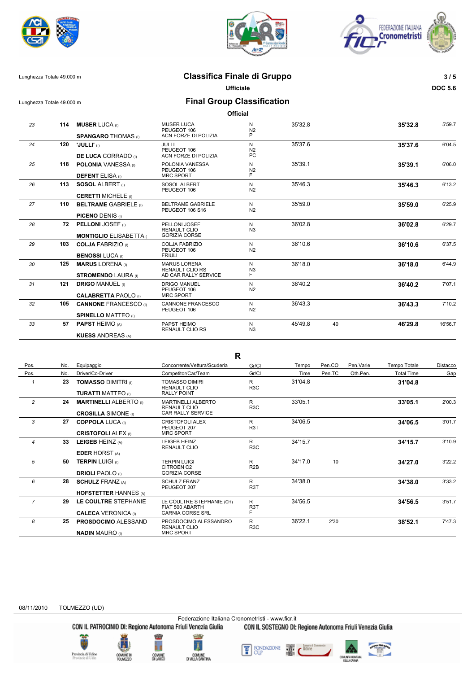





## Lunghezza Totale 49.000 m **Classifica Finale di Gruppo 3 / 5**

**Ufficiale DOC 5.6**

Lunghezza Totale 49.000 m **Final Group Classification**

**Official**

| 23 | 114 | <b>MUSER LUCA</b> (I)         | <b>MUSER LUCA</b><br>PEUGEOT 106              | N<br>N <sub>2</sub> | 35'32.8 |    | 35'32.8 | 5'59.7  |
|----|-----|-------------------------------|-----------------------------------------------|---------------------|---------|----|---------|---------|
|    |     | <b>SPANGARO THOMAS</b> (I)    | ACN FORZE DI POLIZIA                          | P                   |         |    |         |         |
| 24 | 120 | "JULLI" (I)                   | JULLI<br>PEUGEOT 106                          | N<br>N <sub>2</sub> | 35'37.6 |    | 35'37.6 | 6'04.5  |
|    |     | <b>DE LUCA CORRADO</b> (0)    | ACN FORZE DI POLIZIA                          | PC                  |         |    |         |         |
| 25 | 118 | <b>POLONIA</b> VANESSA (i)    | POLONIA VANESSA<br>PEUGEOT 106                | N<br>N <sub>2</sub> | 35'39.1 |    | 35'39.1 | 6'06.0  |
|    |     | <b>DEFENT ELISA</b> (I)       | <b>MRC SPORT</b>                              | F                   |         |    |         |         |
| 26 | 113 | <b>SOSOL ALBERT</b> (i)       | <b>SOSOL ALBERT</b><br>PEUGEOT 106            | N<br>N <sub>2</sub> | 35'46.3 |    | 35'46.3 | 6'13.2  |
|    |     | <b>CERETTI MICHELE</b> (I)    |                                               |                     |         |    |         |         |
| 27 | 110 | <b>BELTRAME GABRIELE (i)</b>  | <b>BELTRAME GABRIELE</b><br>PEUGEOT 106 S16   | N<br>N <sub>2</sub> | 35'59.0 |    | 35'59.0 | 6'25.9  |
|    |     | <b>PICENO DENIS (I)</b>       |                                               |                     |         |    |         |         |
| 28 | 72  | <b>PELLONI JOSEF</b> (i)      | PELLONI JOSEF<br><b>RENAULT CLIO</b>          | N<br>N <sub>3</sub> | 36'02.8 |    | 36'02.8 | 6'29.7  |
|    |     | <b>MONTIGLIO ELISABETTA (</b> | <b>GORIZIA CORSE</b>                          |                     |         |    |         |         |
| 29 | 103 | <b>COLJA FABRIZIO</b> (1)     | <b>COLJA FABRIZIO</b><br>PEUGEOT 106          | N<br>N <sub>2</sub> | 36'10.6 |    | 36'10.6 | 6'37.5  |
|    |     | <b>BENOSSI LUCA</b> (I)       | <b>FRIULI</b>                                 |                     |         |    |         |         |
| 30 | 125 | <b>MARUS LORENA (I)</b>       | <b>MARUS LORENA</b><br><b>RENAULT CLIO RS</b> | N<br>N <sub>3</sub> | 36'18.0 |    | 36'18.0 | 6'44.9  |
|    |     | <b>STROMENDO LAURA</b> (I)    | AD CAR RALLY SERVICE                          | F                   |         |    |         |         |
| 31 | 121 | <b>DRIGO MANUEL (i)</b>       | <b>DRIGO MANUEL</b><br>PEUGEOT 106            | N<br>N <sub>2</sub> | 36'40.2 |    | 36'40.2 | 7'07.1  |
|    |     | <b>CALABRETTA PAOLO</b> (i)   | <b>MRC SPORT</b>                              |                     |         |    |         |         |
| 32 | 105 | <b>CANNONE FRANCESCO</b> (i)  | <b>CANNONE FRANCESCO</b><br>PEUGEOT 106       | N<br>N <sub>2</sub> | 36'43.3 |    | 36'43.3 | 7'10.2  |
|    |     | <b>SPINELLO MATTEO (I)</b>    |                                               |                     |         |    |         |         |
| 33 | 57  | <b>PAPST HEIMO (A)</b>        | PAPST HEIMO<br><b>RENAULT CLIO RS</b>         | N<br>N <sub>3</sub> | 45'49.8 | 40 | 46'29.8 | 16'56.7 |
|    |     | <b>KUESS ANDREAS (A)</b>      |                                               |                     |         |    |         |         |

**R**

| Pos.           | No. | Equipaggio                                                  | Concorrente/Vettura/Scuderia                                            | Gr/Cl                       | Tempo   | Pen.CO | Pen. Varie | <b>Tempo Totale</b> | Distacco |
|----------------|-----|-------------------------------------------------------------|-------------------------------------------------------------------------|-----------------------------|---------|--------|------------|---------------------|----------|
| Pos.           | No. | Driver/Co-Driver                                            | Competitor/Car/Team                                                     | Gr/Cl                       | Time    | Pen.TC | Oth.Pen.   | <b>Total Time</b>   | Gap      |
|                | 23  | <b>TOMASSO DIMITRI (I)</b><br><b>TURATTI MATTEO</b> (0)     | <b>TOMASSO DIMIRI</b><br>RENAULT CLIO<br><b>RALLY POINT</b>             | R<br>R3C                    | 31'04.8 |        |            | 31'04.8             |          |
| $\overline{2}$ | 24  | <b>MARTINELLI ALBERTO</b> (I)<br><b>CROSILLA SIMONE</b> (i) | MARTINELLI ALBERTO<br>RENAULT CLIO<br><b>CAR RALLY SERVICE</b>          | R<br>R <sub>3</sub> C       | 33'05.1 |        |            | 33'05.1             | 2'00.3   |
| 3              | 27  | <b>COPPOLA LUCA</b> (I)<br><b>CRISTOFOLI ALEX (i)</b>       | CRISTOFOLI ALEX<br>PEUGEOT 207<br><b>MRC SPORT</b>                      | R<br>R <sub>3</sub> T       | 34'06.5 |        |            | 34'06.5             | 3'01.7   |
| $\overline{4}$ | 33  | LEIGEB HEINZ (A)<br><b>EDER HORST (A)</b>                   | <b>LEIGEB HEINZ</b><br><b>RENAULT CLIO</b>                              | R<br>R <sub>3</sub> C       | 34'15.7 |        |            | 34'15.7             | 3'10.9   |
| 5              | 50  | <b>TERPIN LUIGI (i)</b><br><b>DRIOLI PAOLO</b> (I)          | TERPIN LUIGI<br><b>CITROEN C2</b><br><b>GORIZIA CORSE</b>               | R<br>R <sub>2</sub> B       | 34'17.0 | 10     |            | 34'27.0             | 3'22.2   |
| 6              | 28  | <b>SCHULZ FRANZ (A)</b><br><b>HOFSTETTER HANNES (A)</b>     | <b>SCHULZ FRANZ</b><br>PEUGEOT 207                                      | R<br>R <sub>3</sub> T       | 34'38.0 |        |            | 34'38.0             | 3'33.2   |
| $\overline{7}$ | 29  | LE COULTRE STEPHANIE<br><b>CALECA VERONICA (I)</b>          | LE COULTRE STEPHANIE (CH)<br>FIAT 500 ABARTH<br><b>CARNIA CORSE SRL</b> | R<br>R <sub>3</sub> T<br>F. | 34'56.5 |        |            | 34'56.5             | 3'51.7   |
| 8              | 25  | <b>PROSDOCIMO ALESSAND</b><br><b>NADIN MAURO</b> (I)        | PROSDOCIMO ALESSANDRO<br><b>RENAULT CLIO</b><br><b>MRC SPORT</b>        | R<br>R <sub>3</sub> C       | 36'22.1 | 2'30   |            | 38'52.1             | 7'47.3   |

#### 08/11/2010 TOLMEZZO (UD)

Federazione Italiana Cronometristi - www.ficr.it<br>CON IL PATROCINIO DI: Regione Autonoma Friuli Venezia Giulia CON IL SOSTEGNO DI:

**Pravincia di Udine**<br>Provincie di Udin





CON IL SOSTEGNO DI: Regione Autonoma Friuli Venezia Giulia

FONDAZIONE Ŧ

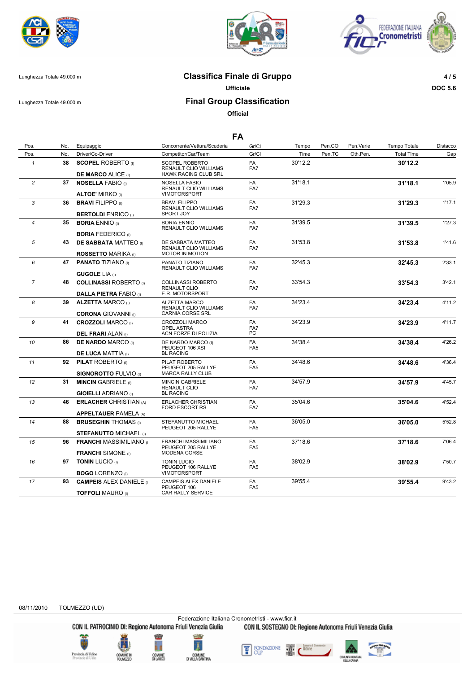





Lunghezza Totale 49.000 m **Classifica Finale di Gruppo 4 / 5**

**Ufficiale DOC 5.6**

### Lunghezza Totale 49.000 m **Final Group Classification**

**Official**

| Pos.           | No. | Equipaggio                                                  | Concorrente/Vettura/Scuderia                                                    | Gr/Cl                 | Tempo   | Pen.CO | Pen.Varie | Tempo Totale      | Distacco |
|----------------|-----|-------------------------------------------------------------|---------------------------------------------------------------------------------|-----------------------|---------|--------|-----------|-------------------|----------|
| Pos.           | No. | Driver/Co-Driver                                            | Competitor/Car/Team                                                             | Gr/Cl                 | Time    | Pen.TC | Oth.Pen.  | <b>Total Time</b> | Gap      |
| $\mathbf{1}$   | 38  | <b>SCOPEL ROBERTO</b> (I)                                   | SCOPEL ROBERTO<br>RENAULT CLIO WILLIAMS<br><b>HAWK RACING CLUB SRL</b>          | FA<br>FA7             | 30'12.2 |        |           | 30'12.2           |          |
| $\overline{c}$ |     | <b>DE MARCO ALICE (I)</b><br>37 NOSELLA FABIO (I)           | NOSELLA FABIO                                                                   | FA                    | 31'18.1 |        |           |                   | 1'05.9   |
|                |     | <b>ALTOE' MIRKO</b> (I)                                     | RENAULT CLIO WILLIAMS<br><b>VIMOTORSPORT</b>                                    | FA7                   |         |        |           | 31'18.1           |          |
| 3              |     | 36 BRAVI FILIPPO (I)<br><b>BERTOLDI ENRICO (i)</b>          | <b>BRAVI FILIPPO</b><br><b>RENAULT CLIO WILLIAMS</b><br>SPORT JOY               | FA<br>FA7             | 31'29.3 |        |           | 31'29.3           | 1'17.1   |
| 4              | 35  | <b>BORIA ENNIO</b> (I)                                      | <b>BORIA ENNIO</b>                                                              | <b>FA</b>             | 31'39.5 |        |           | 31'39.5           | 1'27.3   |
|                |     |                                                             | RENAULT CLIO WILLIAMS                                                           | FA7                   |         |        |           |                   |          |
|                |     | <b>BORIA FEDERICO</b> (I)                                   |                                                                                 |                       |         |        |           |                   |          |
| 5              | 43  | <b>DE SABBATA MATTEO</b> (I)<br><b>ROSSETTO MARIKA</b> (i)  | DE SABBATA MATTEO<br>RENAULT CLIO WILLIAMS<br><b>MOTOR IN MOTION</b>            | FA<br>FA7             | 31'53.8 |        |           | 31'53.8           | 1'41.6   |
| 6              |     | 47 PANATO TIZIANO (I)                                       | PANATO TIZIANO                                                                  | FA                    | 32'45.3 |        |           | 32'45.3           | 2'33.1   |
|                |     | <b>GUGOLE LIA (i)</b>                                       | RENAULT CLIO WILLIAMS                                                           | FA7                   |         |        |           |                   |          |
| $\overline{7}$ | 48  | <b>COLLINASSI ROBERTO</b> (I)                               | COLLINASSI ROBERTO                                                              | FA                    | 33'54.3 |        |           | 33'54.3           | 3'42.1   |
|                |     |                                                             | RENAULT CLIO                                                                    | FA7                   |         |        |           |                   |          |
|                |     | <b>DALLA PIETRA FABIO (I)</b>                               | E.R. MOTORSPORT                                                                 |                       |         |        |           |                   |          |
| 8              |     | 39 ALZETTA MARCO (I)<br><b>CORONA GIOVANNI</b> (I)          | <b>ALZETTA MARCO</b><br><b>RENAULT CLIO WILLIAMS</b><br><b>CARNIA CORSE SRL</b> | FA<br>FA7             | 34'23.4 |        |           | 34'23.4           | 4'11.2   |
| 9              | 41  | <b>CROZZOLI MARCO</b> (I)                                   | CROZZOLI MARCO                                                                  | FA                    | 34'23.9 |        |           | 34'23.9           | 4'11.7   |
|                |     | <b>DEL FRARI ALAN (I)</b>                                   | OPEL ASTRA<br>ACN FORZE DI POLIZIA                                              | FA7<br>PC             |         |        |           |                   |          |
| 10             | 86  | <b>DE NARDO MARCO (I)</b>                                   | DE NARDO MARCO (I)<br>PEUGEOT 106 XSI                                           | FA<br>FA <sub>5</sub> | 34'38.4 |        |           | 34'38.4           | 4'26.2   |
|                |     | <b>DE LUCA MATTIA (I)</b>                                   | <b>BL RACING</b>                                                                |                       |         |        |           |                   |          |
| 11             | 92  | <b>PILAT ROBERTO</b> (I)<br><b>SIGNOROTTO FULVIO</b> (I)    | PILAT ROBERTO<br>PEUGEOT 205 RALLYE<br><b>MARCA RALLY CLUB</b>                  | FA<br>FA <sub>5</sub> | 34'48.6 |        |           | 34'48.6           | 4'36.4   |
| 12             | 31  | <b>MINCIN GABRIELE (I)</b>                                  | <b>MINCIN GABRIELE</b>                                                          | FA                    | 34'57.9 |        |           | 34'57.9           | 4'45.7   |
|                |     | <b>GIOIELLI ADRIANO</b> (I)                                 | RENAULT CLIO<br><b>BL RACING</b>                                                | FA7                   |         |        |           |                   |          |
| 13             | 46  | <b>ERLACHER CHRISTIAN (A)</b>                               | <b>ERLACHER CHRISTIAN</b>                                                       | <b>FA</b>             | 35'04.6 |        |           | 35'04.6           | 4'52.4   |
|                |     | <b>APPELTAUER PAMELA (A)</b>                                | <b>FORD ESCORT RS</b>                                                           | FA7                   |         |        |           |                   |          |
| 14             | 88  | <b>BRUSEGHIN THOMAS (I)</b>                                 | STEFANUTTO MICHAEL<br>PEUGEOT 205 RALLYE                                        | FA<br>FA <sub>5</sub> | 36'05.0 |        |           | 36'05.0           | 5'52.8   |
|                |     | <b>STEFANUTTO MICHAEL (I)</b>                               |                                                                                 |                       |         |        |           |                   |          |
| 15             | 96  | <b>FRANCHI MASSIMILIANO</b> (I<br><b>FRANCHI</b> SIMONE (I) | FRANCHI MASSIMILIANO<br>PEUGEOT 205 RALLYE<br>MODENA CORSE                      | FA<br>FA <sub>5</sub> | 37'18.6 |        |           | 37'18.6           | 7'06.4   |
| 16             |     | 97 TONIN LUCIO (I)                                          | <b>TONIN LUCIO</b>                                                              | FA                    | 38'02.9 |        |           | 38'02.9           | 7'50.7   |
|                |     |                                                             | PEUGEOT 106 RALLYE                                                              | FA <sub>5</sub>       |         |        |           |                   |          |
|                |     | <b>BOGO LORENZO</b> (I)                                     | <b>VIMOTORSPORT</b>                                                             |                       |         |        |           |                   |          |
| 17             | 93  | <b>CAMPEIS ALEX DANIELE</b> (1<br><b>TOFFOLI MAURO</b> (I)  | CAMPEIS ALEX DANIELE<br>PEUGEOT 106<br>CAR RALLY SERVICE                        | FA<br>FA <sub>5</sub> | 39'55.4 |        |           | 39'55.4           | 9'43.2   |

08/11/2010 TOLMEZZO (UD)

Federazione Italiana Cronometristi - www.ficr.it<br>CON IL PATROCINIO DI: Regione Autonoma Friuli Venezia Giulia CON IL SOSTEGNO DI:







FONDAZIONE Ŧ

CON IL SOSTEGNO DI: Regione Autonoma Friuli Venezia Giulia